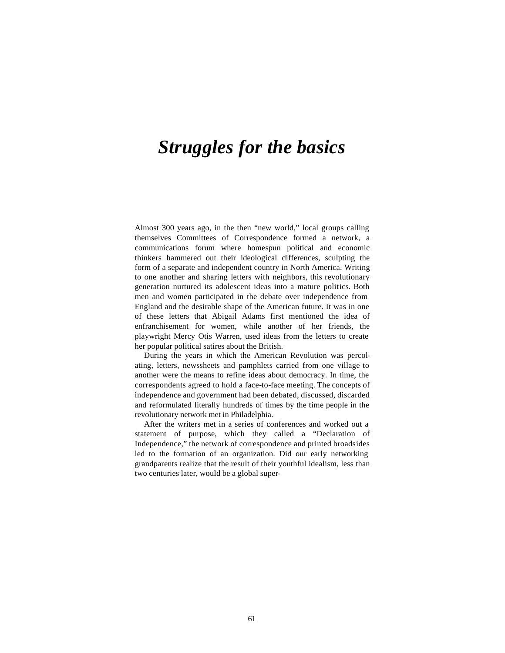# *Struggles for the basics*

Almost 300 years ago, in the then "new world," local groups calling themselves Committees of Correspondence formed a network, a communications forum where homespun political and economic thinkers hammered out their ideological differences, sculpting the form of a separate and independent country in North America. Writing to one another and sharing letters with neighbors, this revolutionary generation nurtured its adolescent ideas into a mature politics. Both men and women participated in the debate over independence from England and the desirable shape of the American future. It was in one of these letters that Abigail Adams first mentioned the idea of enfranchisement for women, while another of her friends, the playwright Mercy Otis Warren, used ideas from the letters to create her popular political satires about the British.

During the years in which the American Revolution was percolating, letters, newssheets and pamphlets carried from one village to another were the means to refine ideas about democracy. In time, the correspondents agreed to hold a face-to-face meeting. The concepts of independence and government had been debated, discussed, discarded and reformulated literally hundreds of times by the time people in the revolutionary network met in Philadelphia.

After the writers met in a series of conferences and worked out a statement of purpose, which they called a "Declaration of Independence," the network of correspondence and printed broadsides led to the formation of an organization. Did our early networking grandparents realize that the result of their youthful idealism, less than two centuries later, would be a global super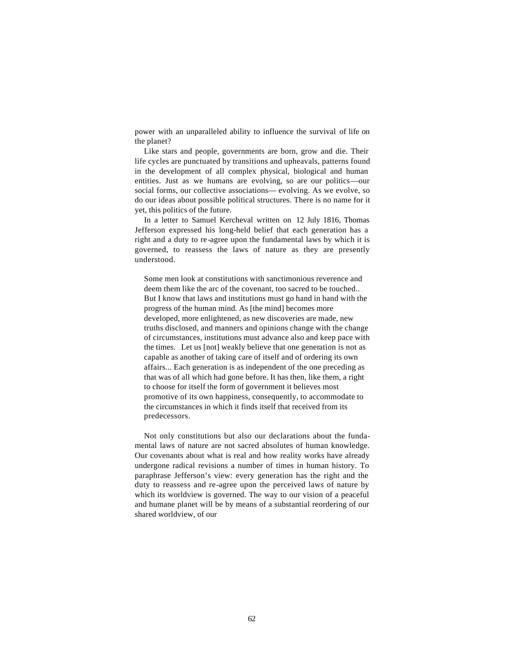power with an unparalleled ability to influence the survival of life on the planet?

Like stars and people, governments are born, grow and die. Their life cycles are punctuated by transitions and upheavals, patterns found in the development of all complex physical, biological and human entities. Just as we humans are evolving, so are our politics—our social forms, our collective associations— evolving. As we evolve, so do our ideas about possible political structures. There is no name for it yet, this politics of the future.

In a letter to Samuel Kercheval written on 12 July 1816, Thomas Jefferson expressed his long-held belief that each generation has a right and a duty to re-agree upon the fundamental laws by which it is governed, to reassess the laws of nature as they are presently understood.

Some men look at constitutions with sanctimonious reverence and deem them like the arc of the covenant, too sacred to be touched... But I know that laws and institutions must go hand in hand with the progress of the human mind. As [the mind] becomes more developed, more enlightened, as new discoveries are made, new truths disclosed, and manners and opinions change with the change of circumstances, institutions must advance also and keep pace with the times. . . . Let us [not] weakly believe that one generation is not as capable as another of taking care of itself and of ordering its own affairs... Each generation is as independent of the one preceding as that was of all which had gone before. It has then, like them, a right to choose for itself the form of government it believes most promotive of its own happiness, consequently, to accommodate to the circumstances in which it finds itself that received from its predecessors.

Not only constitutions but also our declarations about the fundamental laws of nature are not sacred absolutes of human knowledge. Our covenants about what is real and how reality works have already undergone radical revisions a number of times in human history. To paraphrase Jefferson's view: every generation has the right and the duty to reassess and re-agree upon the perceived laws of nature by which its worldview is governed. The way to our vision of a peaceful and humane planet will be by means of a substantial reordering of our shared worldview, of our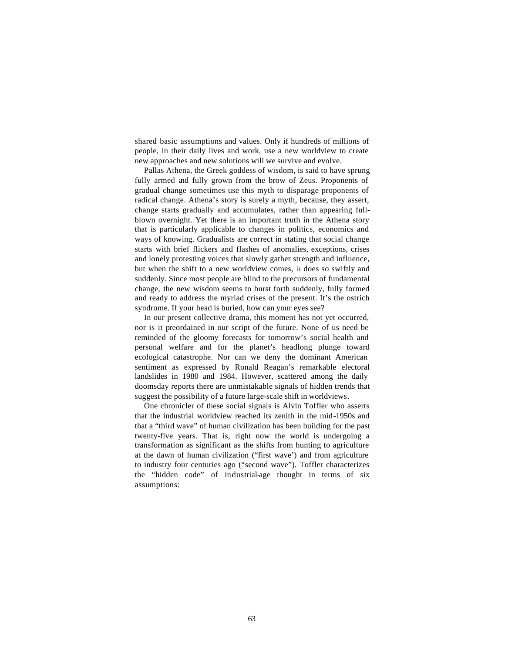shared basic assumptions and values. Only if hundreds of millions of people, in their daily lives and work, use a new worldview to create new approaches and new solutions will we survive and evolve.

Pallas Athena, the Greek goddess of wisdom, is said to have sprung fully armed and fully grown from the brow of Zeus. Proponents of gradual change sometimes use this myth to disparage proponents of radical change. Athena's story is surely a myth, because, they assert, change starts gradually and accumulates, rather than appearing fullblown overnight. Yet there is an important truth in the Athena story that is particularly applicable to changes in politics, economics and ways of knowing. Gradualists are correct in stating that social change starts with brief flickers and flashes of anomalies, exceptions, crises and lonely protesting voices that slowly gather strength and influence, but when the shift to a new worldview comes, it does so swiftly and suddenly. Since most people are blind to the precursors of fundamental change, the new wisdom seems to burst forth suddenly, fully formed and ready to address the myriad crises of the present. It's the ostrich syndrome. If your head is buried, how can your eyes see?

In our present collective drama, this moment has not yet occurred, nor is it preordained in our script of the future. None of us need be reminded of the gloomy forecasts for tomorrow's social health and personal welfare and for the planet's headlong plunge toward ecological catastrophe. Nor can we deny the dominant American sentiment as expressed by Ronald Reagan's remarkable electoral landslides in 1980 and 1984. However, scattered among the daily doomsday reports there are unmistakable signals of hidden trends that suggest the possibility of a future large-scale shift in worldviews.

One chronicler of these social signals is Alvin Toffler who asserts that the industrial worldview reached its zenith in the mid-1950s and that a "third wave" of human civilization has been building for the past twenty-five years. That is, right now the world is undergoing a transformation as significant as the shifts from hunting to agriculture at the dawn of human civilization ("first wave') and from agriculture to industry four centuries ago ("second wave"). Toffler characterizes the "hidden code" of industrial-age thought in terms of six assumptions: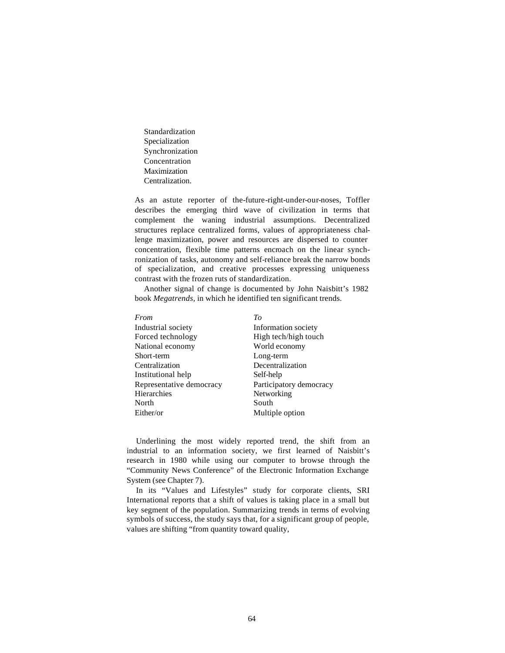Standardization Specialization Synchronization Concentration Maximization Centralization.

As an astute reporter of the-future-right-under-our-noses, Toffler describes the emerging third wave of civilization in terms that complement the waning industrial assumptions. Decentralized structures replace centralized forms, values of appropriateness challenge maximization, power and resources are dispersed to counter concentration, flexible time patterns encroach on the linear synchronization of tasks, autonomy and self-reliance break the narrow bonds of specialization, and creative processes expressing uniqueness contrast with the frozen ruts of standardization.

Another signal of change is documented by John Naisbitt's 1982 book *Megatrends,* in which he identified ten significant trends.

| From                     | Tο                      |
|--------------------------|-------------------------|
| Industrial society       | Information society     |
| Forced technology        | High tech/high touch    |
| National economy         | World economy           |
| Short-term               | Long-term               |
| Centralization           | Decentralization        |
| Institutional help       | Self-help               |
| Representative democracy | Participatory democracy |
| Hierarchies              | Networking              |
| North                    | South                   |
| Either/or                | Multiple option         |

Underlining the most widely reported trend, the shift from an industrial to an information society, we first learned of Naisbitt's research in 1980 while using our computer to browse through the "Community News Conference" of the Electronic Information Exchange System (see Chapter 7).

In its "Values and Lifestyles" study for corporate clients, SRI International reports that a shift of values is taking place in a small but key segment of the population. Summarizing trends in terms of evolving symbols of success, the study says that, for a significant group of people, values are shifting "from quantity toward quality,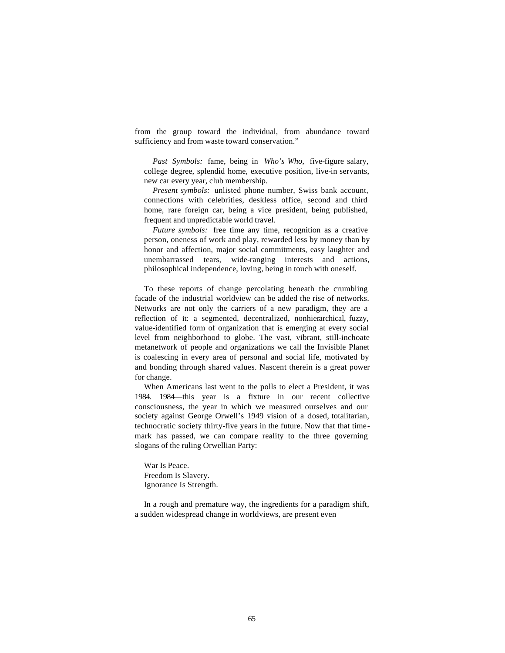from the group toward the individual, from abundance toward sufficiency and from waste toward conservation."

*Past Symbols:* fame, being in *Who's Who,* five-figure salary, college degree, splendid home, executive position, live-in servants, new car every year, club membership.

*Present symbols:* unlisted phone number, Swiss bank account, connections with celebrities, deskless office, second and third home, rare foreign car, being a vice president, being published, frequent and unpredictable world travel.

*Future symbols:* free time any time, recognition as a creative person, oneness of work and play, rewarded less by money than by honor and affection, major social commitments, easy laughter and unembarrassed tears, wide-ranging interests and actions, philosophical independence, loving, being in touch with oneself.

To these reports of change percolating beneath the crumbling facade of the industrial worldview can be added the rise of networks. Networks are not only the carriers of a new paradigm, they are a reflection of it: a segmented, decentralized, nonhierarchical, fuzzy, value-identified form of organization that is emerging at every social level from neighborhood to globe. The vast, vibrant, still-inchoate metanetwork of people and organizations we call the Invisible Planet is coalescing in every area of personal and social life, motivated by and bonding through shared values. Nascent therein is a great power for change.

When Americans last went to the polls to elect a President, it was 1984. 1984—this year is a fixture in our recent collective consciousness, the year in which we measured ourselves and our society against George Orwell's 1949 vision of a dosed, totalitarian, technocratic society thirty-five years in the future. Now that that timemark has passed, we can compare reality to the three governing slogans of the ruling Orwellian Party:

War Is Peace. Freedom Is Slavery. Ignorance Is Strength.

In a rough and premature way, the ingredients for a paradigm shift, a sudden widespread change in worldviews, are present even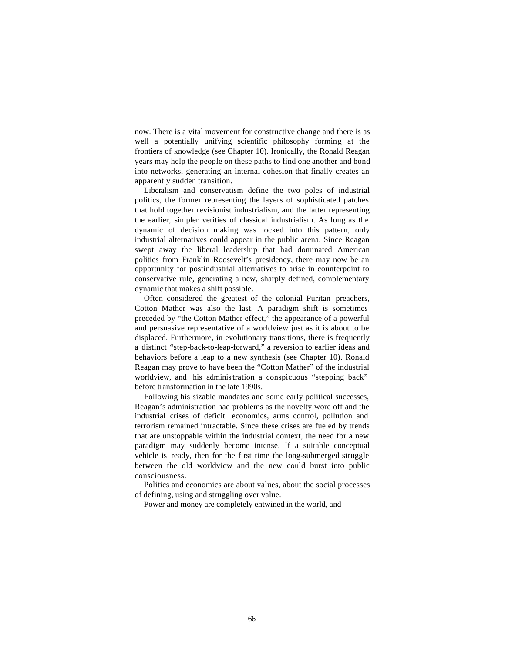now. There is a vital movement for constructive change and there is as well a potentially unifying scientific philosophy forming at the frontiers of knowledge (see Chapter 10). Ironically, the Ronald Reagan years may help the people on these paths to find one another and bond into networks, generating an internal cohesion that finally creates an apparently sudden transition.

Liberalism and conservatism define the two poles of industrial politics, the former representing the layers of sophisticated patches that hold together revisionist industrialism, and the latter representing the earlier, simpler verities of classical industrialism. As long as the dynamic of decision making was locked into this pattern, only industrial alternatives could appear in the public arena. Since Reagan swept away the liberal leadership that had dominated American politics from Franklin Roosevelt's presidency, there may now be an opportunity for postindustrial alternatives to arise in counterpoint to conservative rule, generating a new, sharply defined, complementary dynamic that makes a shift possible.

Often considered the greatest of the colonial Puritan preachers, Cotton Mather was also the last. A paradigm shift is sometimes preceded by "the Cotton Mather effect," the appearance of a powerful and persuasive representative of a worldview just as it is about to be displaced. Furthermore, in evolutionary transitions, there is frequently a distinct "step-back-to-leap-forward," a reversion to earlier ideas and behaviors before a leap to a new synthesis (see Chapter 10). Ronald Reagan may prove to have been the "Cotton Mather" of the industrial worldview, and his administration a conspicuous "stepping back" before transformation in the late 1990s.

Following his sizable mandates and some early political successes, Reagan's administration had problems as the novelty wore off and the industrial crises of deficit economics, arms control, pollution and terrorism remained intractable. Since these crises are fueled by trends that are unstoppable within the industrial context, the need for a new paradigm may suddenly become intense. If a suitable conceptual vehicle is ready, then for the first time the long-submerged struggle between the old worldview and the new could burst into public consciousness.

Politics and economics are about values, about the social processes of defining, using and struggling over value.

Power and money are completely entwined in the world, and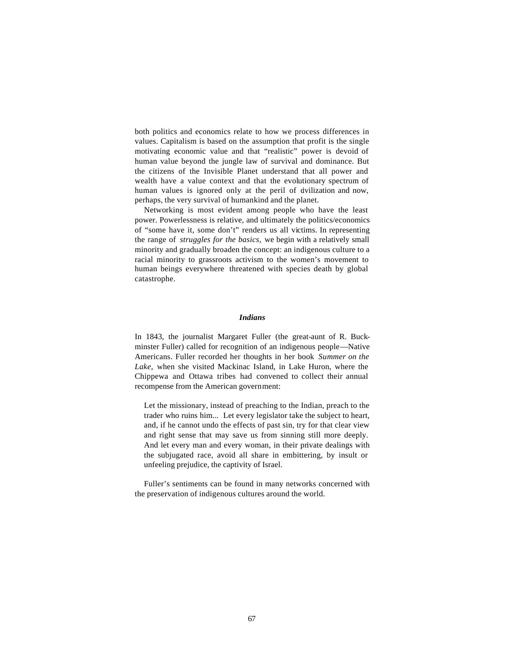both politics and economics relate to how we process differences in values. Capitalism is based on the assumption that profit is the single motivating economic value and that "realistic" power is devoid of human value beyond the jungle law of survival and dominance. But the citizens of the Invisible Planet understand that all power and wealth have a value context and that the evolutionary spectrum of human values is ignored only at the peril of dvilization and now, perhaps, the very survival of humankind and the planet.

Networking is most evident among people who have the least power. Powerlessness is relative, and ultimately the politics/economics of "some have it, some don't" renders us all victims. In representing the range of *struggles for the basics,* we begin with a relatively small minority and gradually broaden the concept: an indigenous culture to a racial minority to grassroots activism to the women's movement to human beings everywhere threatened with species death by global catastrophe.

## *Indians*

In 1843, the journalist Margaret Fuller (the great-aunt of R. Buckminster Fuller) called for recognition of an indigenous people—Native Americans. Fuller recorded her thoughts in her book *Summer on the Lake,* when she visited Mackinac Island, in Lake Huron, where the Chippewa and Ottawa tribes had convened to collect their annual recompense from the American government:

Let the missionary, instead of preaching to the Indian, preach to the trader who ruins him... . Let every legislator take the subject to heart, and, if he cannot undo the effects of past sin, try for that clear view and right sense that may save us from sinning still more deeply. And let every man and every woman, in their private dealings with the subjugated race, avoid all share in embittering, by insult or unfeeling prejudice, the captivity of Israel.

Fuller's sentiments can be found in many networks concerned with the preservation of indigenous cultures around the world.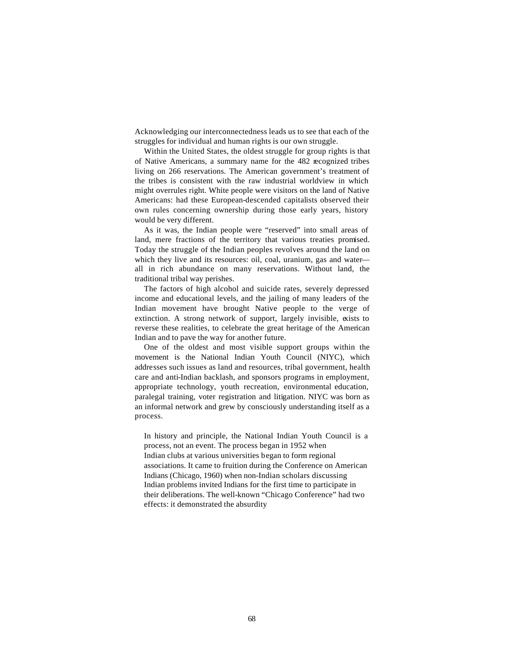Acknowledging our interconnectedness leads us to see that each of the struggles for individual and human rights is our own struggle.

Within the United States, the oldest struggle for group rights is that of Native Americans, a summary name for the 482 recognized tribes living on 266 reservations. The American government's treatment of the tribes is consistent with the raw industrial worldview in which might overrules right. White people were visitors on the land of Native Americans: had these European-descended capitalists observed their own rules concerning ownership during those early years, history would be very different.

As it was, the Indian people were "reserved" into small areas of land, mere fractions of the territory that various treaties promised. Today the struggle of the Indian peoples revolves around the land on which they live and its resources: oil, coal, uranium, gas and water all in rich abundance on many reservations. Without land, the traditional tribal way perishes.

The factors of high alcohol and suicide rates, severely depressed income and educational levels, and the jailing of many leaders of the Indian movement have brought Native people to the verge of extinction. A strong network of support, largely invisible, exists to reverse these realities, to celebrate the great heritage of the American Indian and to pave the way for another future.

One of the oldest and most visible support groups within the movement is the National Indian Youth Council (NIYC), which addresses such issues as land and resources, tribal government, health care and anti-Indian backlash, and sponsors programs in employment, appropriate technology, youth recreation, environmental education, paralegal training, voter registration and litigation. NIYC was born as an informal network and grew by consciously understanding itself as a process.

In history and principle, the National Indian Youth Council is a process, not an event. The process began in 1952 when Indian clubs at various universities began to form regional associations. It came to fruition during the Conference on American Indians (Chicago, 1960) when non-Indian scholars discussing Indian problems invited Indians for the first time to participate in their deliberations. The well-known "Chicago Conference" had two effects: it demonstrated the absurdity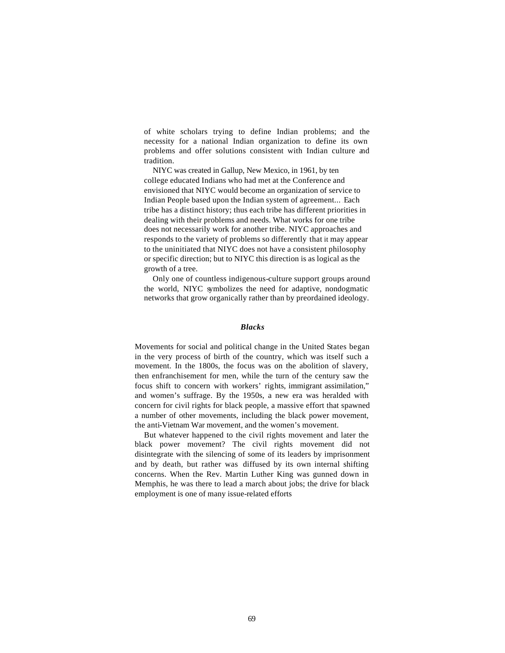of white scholars trying to define Indian problems; and the necessity for a national Indian organization to define its own problems and offer solutions consistent with Indian culture and tradition.

NIYC was created in Gallup, New Mexico, in 1961, by ten college educated Indians who had met at the Conference and envisioned that NIYC would become an organization of service to Indian People based upon the Indian system of agreement... . Each tribe has a distinct history; thus each tribe has different priorities in dealing with their problems and needs. What works for one tribe does not necessarily work for another tribe. NIYC approaches and responds to the variety of problems so differently that it may appear to the uninitiated that NIYC does not have a consistent philosophy or specific direction; but to NIYC this direction is as logical as the growth of a tree.

Only one of countless indigenous-culture support groups around the world, NIYC symbolizes the need for adaptive, nondogmatic networks that grow organically rather than by preordained ideology.

## *Blacks*

Movements for social and political change in the United States began in the very process of birth of the country, which was itself such a movement. In the 1800s, the focus was on the abolition of slavery, then enfranchisement for men, while the turn of the century saw the focus shift to concern with workers' rights, immigrant assimilation," and women's suffrage. By the 1950s, a new era was heralded with concern for civil rights for black people, a massive effort that spawned a number of other movements, including the black power movement, the anti-Vietnam War movement, and the women's movement.

But whatever happened to the civil rights movement and later the black power movement? The civil rights movement did not disintegrate with the silencing of some of its leaders by imprisonment and by death, but rather was diffused by its own internal shifting concerns. When the Rev. Martin Luther King was gunned down in Memphis, he was there to lead a march about jobs; the drive for black employment is one of many issue-related efforts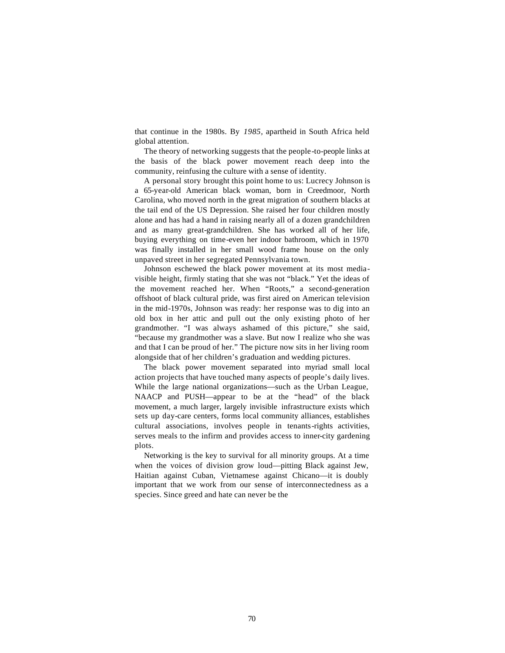that continue in the 1980s. By *1985,* apartheid in South Africa held global attention.

The theory of networking suggests that the people-to-people links at the basis of the black power movement reach deep into the community, reinfusing the culture with a sense of identity.

A personal story brought this point home to us: Lucrecy Johnson is a 65-year-old American black woman, born in Creedmoor, North Carolina, who moved north in the great migration of southern blacks at the tail end of the US Depression. She raised her four children mostly alone and has had a hand in raising nearly all of a dozen grandchildren and as many great-grandchildren. She has worked all of her life, buying everything on time-even her indoor bathroom, which in 1970 was finally installed in her small wood frame house on the only unpaved street in her segregated Pennsylvania town.

Johnson eschewed the black power movement at its most mediavisible height, firmly stating that she was not "black." Yet the ideas of the movement reached her. When "Roots," a second-generation offshoot of black cultural pride, was first aired on American television in the mid-1970s, Johnson was ready: her response was to dig into an old box in her attic and pull out the only existing photo of her grandmother. "I was always ashamed of this picture," she said, "because my grandmother was a slave. But now I realize who she was and that I can be proud of her." The picture now sits in her living room alongside that of her children's graduation and wedding pictures.

The black power movement separated into myriad small local action projects that have touched many aspects of people's daily lives. While the large national organizations—such as the Urban League, NAACP and PUSH—appear to be at the "head" of the black movement, a much larger, largely invisible infrastructure exists which sets up day-care centers, forms local community alliances, establishes cultural associations, involves people in tenants-rights activities, serves meals to the infirm and provides access to inner-city gardening plots.

Networking is the key to survival for all minority groups. At a time when the voices of division grow loud—pitting Black against Jew, Haitian against Cuban, Vietnamese against Chicano—it is doubly important that we work from our sense of interconnectedness as a species. Since greed and hate can never be the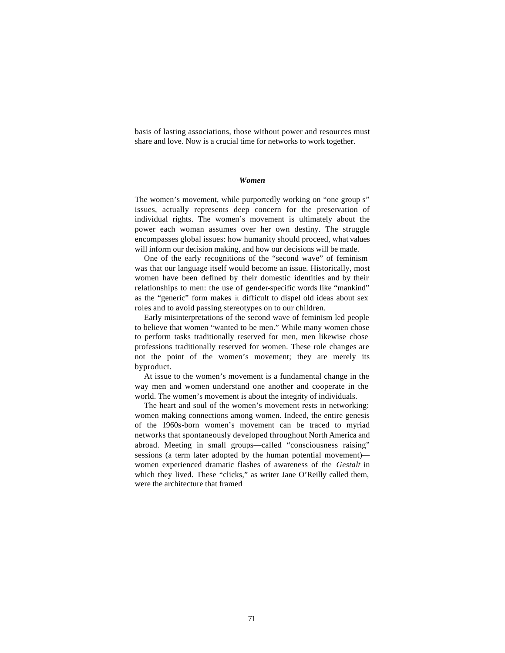basis of lasting associations, those without power and resources must share and love. Now is a crucial time for networks to work together.

#### *Women*

The women's movement, while purportedly working on "one group s" issues, actually represents deep concern for the preservation of individual rights. The women's movement is ultimately about the power each woman assumes over her own destiny. The struggle encompasses global issues: how humanity should proceed, what values will inform our decision making, and how our decisions will be made.

One of the early recognitions of the "second wave" of feminism was that our language itself would become an issue. Historically, most women have been defined by their domestic identities and by their relationships to men: the use of gender-specific words like "mankind" as the "generic" form makes it difficult to dispel old ideas about sex roles and to avoid passing stereotypes on to our children.

Early misinterpretations of the second wave of feminism led people to believe that women "wanted to be men." While many women chose to perform tasks traditionally reserved for men, men likewise chose professions traditionally reserved for women. These role changes are not the point of the women's movement; they are merely its byproduct.

At issue to the women's movement is a fundamental change in the way men and women understand one another and cooperate in the world. The women's movement is about the integrity of individuals.

The heart and soul of the women's movement rests in networking: women making connections among women. Indeed, the entire genesis of the 1960s-born women's movement can be traced to myriad networks that spontaneously developed throughout North America and abroad. Meeting in small groups—called "consciousness raising" sessions (a term later adopted by the human potential movement) women experienced dramatic flashes of awareness of the *Gestalt* in which they lived. These "clicks," as writer Jane O'Reilly called them, were the architecture that framed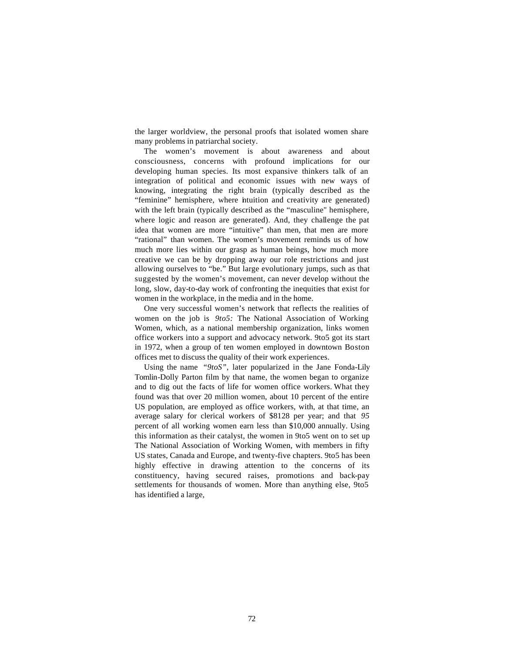the larger worldview, the personal proofs that isolated women share many problems in patriarchal society.

The women's movement is about awareness and about consciousness, concerns with profound implications for our developing human species. Its most expansive thinkers talk of an integration of political and economic issues with new ways of knowing, integrating the right brain (typically described as the "feminine" hemisphere, where intuition and creativity are generated) with the left brain (typically described as the "masculine" hemisphere, where logic and reason are generated). And, they challenge the pat idea that women are more "intuitive" than men, that men are more "rational" than women. The women's movement reminds us of how much more lies within our grasp as human beings, how much more creative we can be by dropping away our role restrictions and just allowing ourselves to "be." But large evolutionary jumps, such as that suggested by the women's movement, can never develop without the long, slow, day-to-day work of confronting the inequities that exist for women in the workplace, in the media and in the home.

One very successful women's network that reflects the realities of women on the job is *9to5:* The National Association of Working Women, which, as a national membership organization, links women office workers into a support and advocacy network. 9to5 got its start in 1972, when a group of ten women employed in downtown Boston offices met to discuss the quality of their work experiences.

Using the name *"9toS",* later popularized in the Jane Fonda-Lily Tomlin-Dolly Parton film by that name, the women began to organize and to dig out the facts of life for women office workers. What they found was that over 20 million women, about 10 percent of the entire US population, are employed as office workers, with, at that time, an average salary for clerical workers of \$8128 per year; and that *95*  percent of all working women earn less than \$10,000 annually. Using this information as their catalyst, the women in 9to5 went on to set up The National Association of Working Women, with members in fifty US states, Canada and Europe, and twenty-five chapters. 9to5 has been highly effective in drawing attention to the concerns of its constituency, having secured raises, promotions and back-pay settlements for thousands of women. More than anything else, 9to5 has identified a large,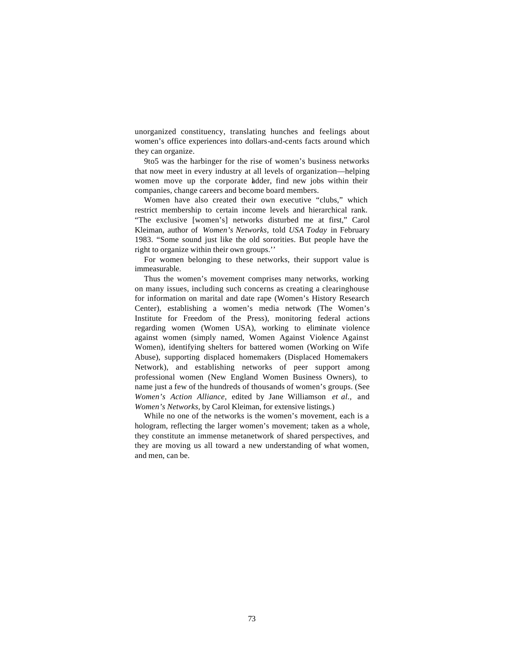unorganized constituency, translating hunches and feelings about women's office experiences into dollars-and-cents facts around which they can organize.

9to5 was the harbinger for the rise of women's business networks that now meet in every industry at all levels of organization—helping women move up the corporate ladder, find new jobs within their companies, change careers and become board members.

Women have also created their own executive "clubs," which restrict membership to certain income levels and hierarchical rank. "The exclusive [women's] networks disturbed me at first," Carol Kleiman, author of *Women's Networks,* told *USA Today* in February 1983. "Some sound just like the old sororities. But people have the right to organize within their own groups.''

For women belonging to these networks, their support value is immeasurable.

Thus the women's movement comprises many networks, working on many issues, including such concerns as creating a clearinghouse for information on marital and date rape (Women's History Research Center), establishing a women's media network (The Women's Institute for Freedom of the Press), monitoring federal actions regarding women (Women USA), working to eliminate violence against women (simply named, Women Against Violence Against Women), identifying shelters for battered women (Working on Wife Abuse), supporting displaced homemakers (Displaced Homemakers Network), and establishing networks of peer support among professional women (New England Women Business Owners), to name just a few of the hundreds of thousands of women's groups. (See *Women's Action Alliance,* edited by Jane Williamson *et al.,* and *Women's Networks,* by Carol Kleiman, for extensive listings.)

While no one of the networks is the women's movement, each is a hologram, reflecting the larger women's movement; taken as a whole, they constitute an immense metanetwork of shared perspectives, and they are moving us all toward a new understanding of what women, and men, can be.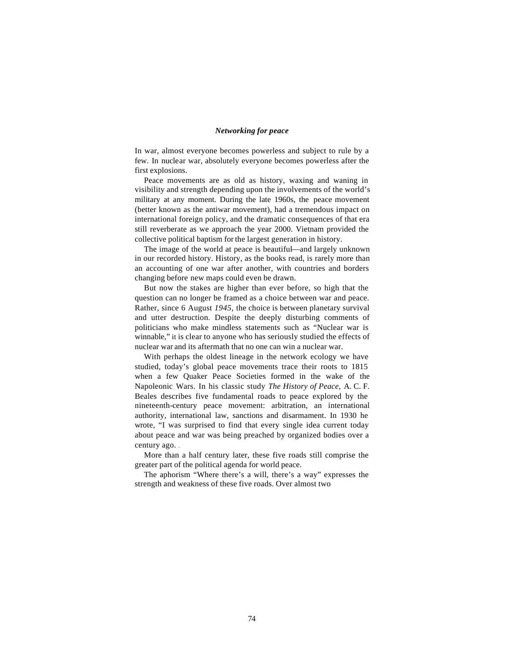# *Networking for peace*

In war, almost everyone becomes powerless and subject to rule by a few. In nuclear war, absolutely everyone becomes powerless after the first explosions.

Peace movements are as old as history, waxing and waning in visibility and strength depending upon the involvements of the world's military at any moment. During the late 1960s, the peace movement (better known as the antiwar movement), had a tremendous impact on international foreign policy, and the dramatic consequences of that era still reverberate as we approach the year 2000. Vietnam provided the collective political baptism for the largest generation in history.

The image of the world at peace is beautiful—and largely unknown in our recorded history. History, as the books read, is rarely more than an accounting of one war after another, with countries and borders changing before new maps could even be drawn.

But now the stakes are higher than ever before, so high that the question can no longer be framed as a choice between war and peace. Rather, since 6 August *1945,* the choice is between planetary survival and utter destruction. Despite the deeply disturbing comments of politicians who make mindless statements such as "Nuclear war is winnable," it is clear to anyone who has seriously studied the effects of nuclear war and its aftermath that no one can win a nuclear war.

With perhaps the oldest lineage in the network ecology we have studied, today's global peace movements trace their roots to 1815 when a few Quaker Peace Societies formed in the wake of the Napoleonic Wars. In his classic study *The History of Peace,* A. C. F. Beales describes five fundamental roads to peace explored by the nineteenth-century peace movement: arbitration, an international authority, international law, sanctions and disarmament. In 1930 he wrote, "I was surprised to find that every single idea current today about peace and war was being preached by organized bodies over a century ago. ...

More than a half century later, these five roads still comprise the greater part of the political agenda for world peace.

The aphorism "Where there's a will, there's a way" expresses the strength and weakness of these five roads. Over almost two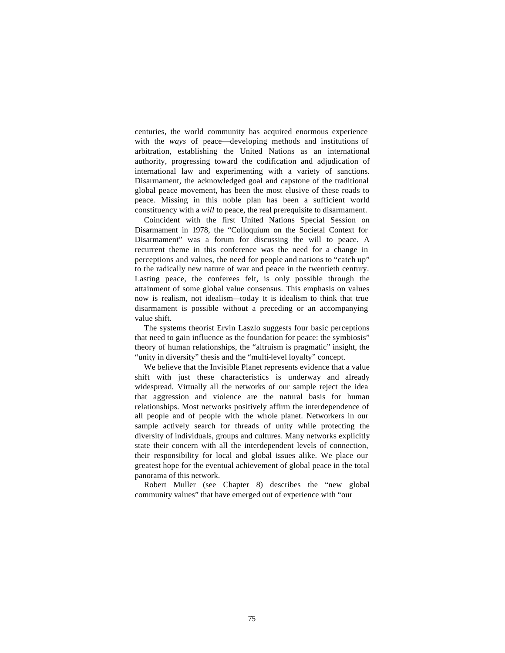centuries, the world community has acquired enormous experience with the *ways* of peace—developing methods and institutions of arbitration, establishing the United Nations as an international authority, progressing toward the codification and adjudication of international law and experimenting with a variety of sanctions. Disarmament, the acknowledged goal and capstone of the traditional global peace movement, has been the most elusive of these roads to peace. Missing in this noble plan has been a sufficient world constituency with a *will* to peace, the real prerequisite to disarmament.

Coincident with the first United Nations Special Session on Disarmament in 1978, the "Colloquium on the Societal Context for Disarmament" was a forum for discussing the will to peace. A recurrent theme in this conference was the need for a change in perceptions and values, the need for people and nations to "catch up" to the radically new nature of war and peace in the twentieth century. Lasting peace, the conferees felt, is only possible through the attainment of some global value consensus. This emphasis on values now is realism, not idealism—today it is idealism to think that true disarmament is possible without a preceding or an accompanying value shift.

The systems theorist Ervin Laszlo suggests four basic perceptions that need to gain influence as the foundation for peace: the symbiosis" theory of human relationships, the "altruism is pragmatic" insight, the "unity in diversity" thesis and the "multi-level loyalty" concept.

We believe that the Invisible Planet represents evidence that a value shift with just these characteristics is underway and already widespread. Virtually all the networks of our sample reject the idea that aggression and violence are the natural basis for human relationships. Most networks positively affirm the interdependence of all people and of people with the whole planet. Networkers in our sample actively search for threads of unity while protecting the diversity of individuals, groups and cultures. Many networks explicitly state their concern with all the interdependent levels of connection, their responsibility for local and global issues alike. We place our greatest hope for the eventual achievement of global peace in the total panorama of this network.

Robert Muller (see Chapter 8) describes the "new global community values" that have emerged out of experience with "our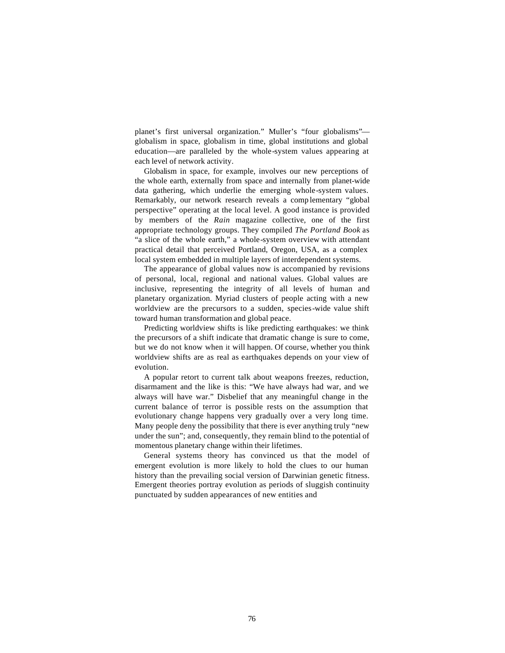planet's first universal organization." Muller's "four globalisms" globalism in space, globalism in time, global institutions and global education—are paralleled by the whole-system values appearing at each level of network activity.

Globalism in space, for example, involves our new perceptions of the whole earth, externally from space and internally from planet-wide data gathering, which underlie the emerging whole-system values. Remarkably, our network research reveals a comp lementary "global perspective" operating at the local level. A good instance is provided by members of the *Rain* magazine collective, one of the first appropriate technology groups. They compiled *The Portland Book* as "a slice of the whole earth," a whole-system overview with attendant practical detail that perceived Portland, Oregon, USA, as a complex local system embedded in multiple layers of interdependent systems.

The appearance of global values now is accompanied by revisions of personal, local, regional and national values. Global values are inclusive, representing the integrity of all levels of human and planetary organization. Myriad clusters of people acting with a new worldview are the precursors to a sudden, species-wide value shift toward human transformation and global peace.

Predicting worldview shifts is like predicting earthquakes: we think the precursors of a shift indicate that dramatic change is sure to come, but we do not know when it will happen. Of course, whether you think worldview shifts are as real as earthquakes depends on your view of evolution.

A popular retort to current talk about weapons freezes, reduction, disarmament and the like is this: "We have always had war, and we always will have war." Disbelief that any meaningful change in the current balance of terror is possible rests on the assumption that evolutionary change happens very gradually over a very long time. Many people deny the possibility that there is ever anything truly "new under the sun"; and, consequently, they remain blind to the potential of momentous planetary change within their lifetimes.

General systems theory has convinced us that the model of emergent evolution is more likely to hold the clues to our human history than the prevailing social version of Darwinian genetic fitness. Emergent theories portray evolution as periods of sluggish continuity punctuated by sudden appearances of new entities and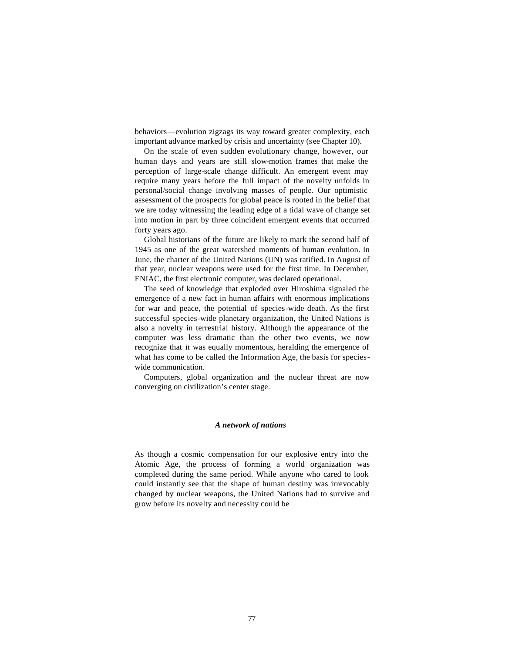behaviors—evolution zigzags its way toward greater complexity, each important advance marked by crisis and uncertainty (see Chapter 10).

On the scale of even sudden evolutionary change, however, our human days and years are still slow-motion frames that make the perception of large-scale change difficult. An emergent event may require many years before the full impact of the novelty unfolds in personal/social change involving masses of people. Our optimistic assessment of the prospects for global peace is rooted in the belief that we are today witnessing the leading edge of a tidal wave of change set into motion in part by three coincident emergent events that occurred forty years ago.

Global historians of the future are likely to mark the second half of 1945 as one of the great watershed moments of human evolution. In June, the charter of the United Nations (UN) was ratified. In August of that year, nuclear weapons were used for the first time. In December, ENIAC, the first electronic computer, was declared operational.

The seed of knowledge that exploded over Hiroshima signaled the emergence of a new fact in human affairs with enormous implications for war and peace, the potential of species-wide death. As the first successful species-wide planetary organization, the United Nations is also a novelty in terrestrial history. Although the appearance of the computer was less dramatic than the other two events, we now recognize that it was equally momentous, heralding the emergence of what has come to be called the Information Age, the basis for specieswide communication.

Computers, global organization and the nuclear threat are now converging on civilization's center stage.

#### *A network of nations*

As though a cosmic compensation for our explosive entry into the Atomic Age, the process of forming a world organization was completed during the same period. While anyone who cared to look could instantly see that the shape of human destiny was irrevocably changed by nuclear weapons, the United Nations had to survive and grow before its novelty and necessity could be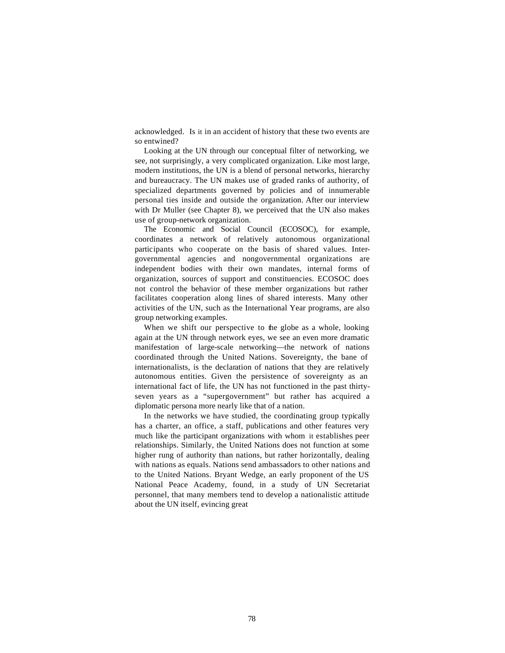acknowledged. Is it in an accident of history that these two events are so entwined?

Looking at the UN through our conceptual filter of networking, we see, not surprisingly, a very complicated organization. Like most large, modern institutions, the UN is a blend of personal networks, hierarchy and bureaucracy. The UN makes use of graded ranks of authority, of specialized departments governed by policies and of innumerable personal ties inside and outside the organization. After our interview with Dr Muller (see Chapter 8), we perceived that the UN also makes use of group-network organization.

The Economic and Social Council (ECOSOC), for example, coordinates a network of relatively autonomous organizational participants who cooperate on the basis of shared values. Intergovernmental agencies and nongovernmental organizations are independent bodies with their own mandates, internal forms of organization, sources of support and constituencies. ECOSOC does not control the behavior of these member organizations but rather facilitates cooperation along lines of shared interests. Many other activities of the UN, such as the International Year programs, are also group networking examples.

When we shift our perspective to the globe as a whole, looking again at the UN through network eyes, we see an even more dramatic manifestation of large-scale networking—the network of nations coordinated through the United Nations. Sovereignty, the bane of internationalists, is the declaration of nations that they are relatively autonomous entities. Given the persistence of sovereignty as an international fact of life, the UN has not functioned in the past thirtyseven years as a "supergovernment" but rather has acquired a diplomatic persona more nearly like that of a nation.

In the networks we have studied, the coordinating group typically has a charter, an office, a staff, publications and other features very much like the participant organizations with whom it establishes peer relationships. Similarly, the United Nations does not function at some higher rung of authority than nations, but rather horizontally, dealing with nations as equals. Nations send ambassadors to other nations and to the United Nations. Bryant Wedge, an early proponent of the US National Peace Academy, found, in a study of UN Secretariat personnel, that many members tend to develop a nationalistic attitude about the UN itself, evincing great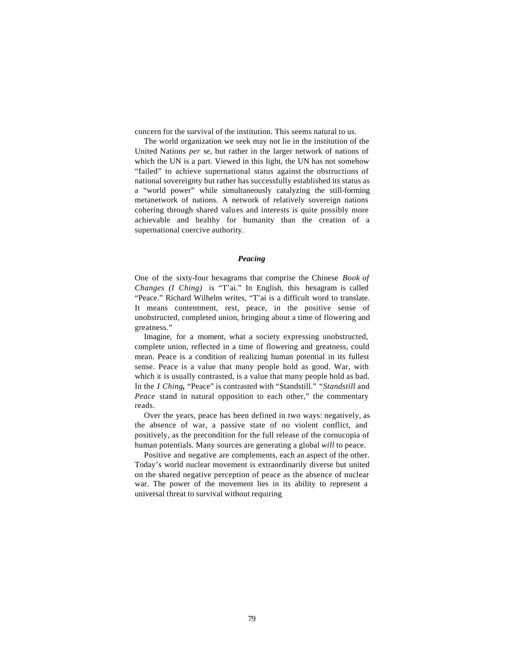concern for the survival of the institution. This seems natural to us.

The world organization we seek may not lie in the institution of the United Nations *per se,* but rather in the larger network of nations of which the UN is a part. Viewed in this light, the UN has not somehow "failed" to achieve supernational status against the obstructions of national sovereignty but rather has successfully established its status as a "world power" while simultaneously catalyzing the still-forming metanetwork of nations. A network of relatively sovereign nations cohering through shared values and interests is quite possibly more achievable and healthy for humanity than the creation of a supernational coercive authority.

## *Peacing*

One of the sixty-four hexagrams that comprise the Chinese *Book of Changes (I Ching)* is "T'ai." In English, this hexagram is called "Peace." Richard Wilhelm writes, "T'ai is a difficult word to translate. It means contentment, rest, peace, in the positive sense of unobstructed, completed union, bringing about a time of flowering and greatness."

Imagine, for a moment, what a society expressing unobstructed, complete union, reflected in a time of flowering and greatness, could mean. Peace is a condition of realizing human potential in its fullest sense. Peace is a value that many people hold as good. War, with which it is usually contrasted, is a value that many people hold as bad. In the *I Ching,* "Peace" is contrasted with "Standstill." *"Standstill* and *Peace* stand in natural opposition to each other," the commentary reads.

Over the years, peace has been defined in two ways: negatively, as the absence of war, a passive state of no violent conflict, and positively, as the precondition for the full release of the cornucopia of human potentials. Many sources are generating a global *will* to peace.

Positive and negative are complements, each an aspect of the other. Today's world nuclear movement is extraordinarily diverse but united on the shared negative perception of peace as the absence of nuclear war. The power of the movement lies in its ability to represent a universal threat to survival without requiring